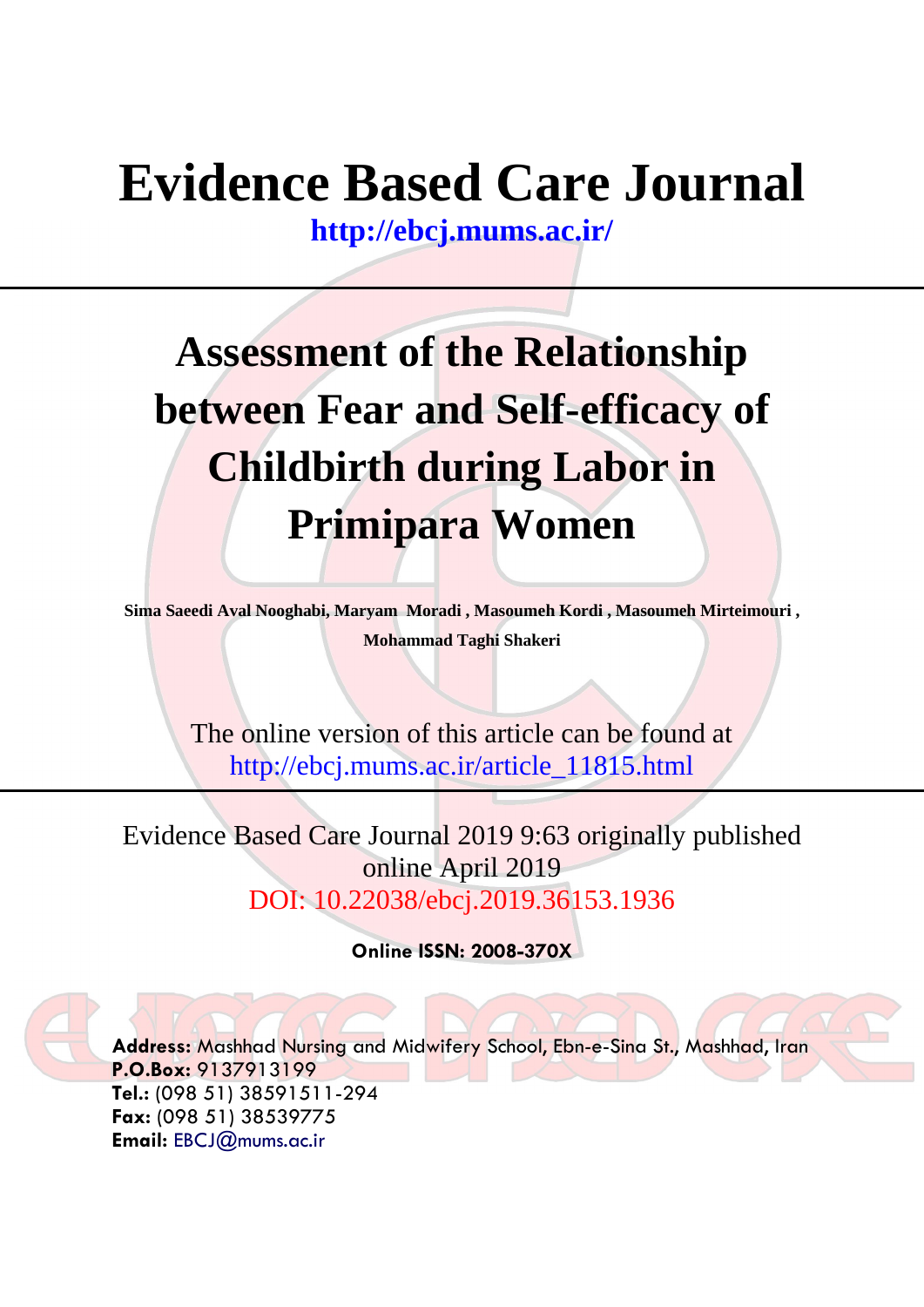# **Evidence Based Care Journal**

**<http://ebcj.mums.ac.ir/>**

# **Assessment of the Relationship between Fear and Self-efficacy of Childbirth during Labor in Primipara Women**

**Sima Saeedi Aval Nooghabi, Maryam Moradi , Masoumeh Kordi , Masoumeh Mirteimouri , Mohammad Taghi Shakeri**

The online version of this article can be found at http://ebcj.mums.ac.ir/article\_11815.html

Evidence Based Care Journal 2019 9:63 originally published online April 2019 DOI: 10.22038/ebcj.2019.36153.1936

**Online ISSN: 2008-370X**

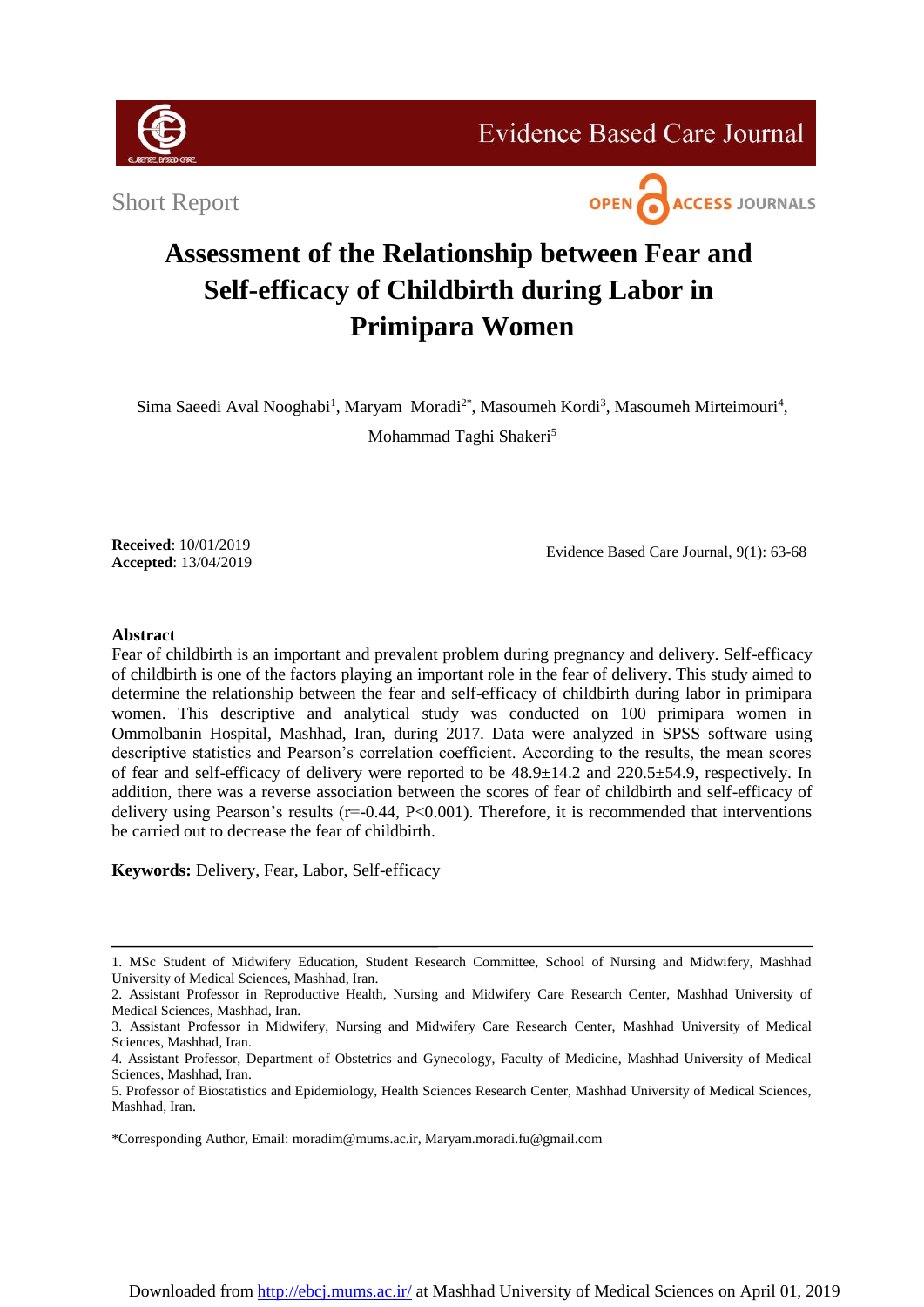

**Evidence Based Care Journal** 

Short Report



# **Assessment of the Relationship between Fear and Self-efficacy of Childbirth during Labor in Primipara Women**

Sima Saeedi Aval Nooghabi<sup>1</sup>, Maryam Moradi<sup>2\*</sup>, Masoumeh Kordi<sup>3</sup>, Masoumeh Mirteimouri<sup>4</sup>, Mohammad Taghi Shakeri<sup>5</sup>

**Received**: 10/01/2019 **Accepted**: 13/04/2019

Evidence Based Care Journal, 9(1): 63-68

# **Abstract**

Fear of childbirth is an important and prevalent problem during pregnancy and delivery. Self-efficacy of childbirth is one of the factors playing an important role in the fear of delivery. This study aimed to determine the relationship between the fear and self-efficacy of childbirth during labor in primipara women. This descriptive and analytical study was conducted on 100 primipara women in Ommolbanin Hospital, Mashhad, Iran, during 2017. Data were analyzed in SPSS software using descriptive statistics and Pearson's correlation coefficient. According to the results, the mean scores of fear and self-efficacy of delivery were reported to be 48.9±14.2 and 220.5±54.9, respectively. In addition, there was a reverse association between the scores of fear of childbirth and self-efficacy of delivery using Pearson's results  $(r=0.44, P<0.001)$ . Therefore, it is recommended that interventions be carried out to decrease the fear of childbirth.

**Keywords:** Delivery, Fear, Labor, Self-efficacy

\*Corresponding Author, Email[:](mailto:moradim@mums.ac.ir) [moradim@mums.ac.ir,](mailto:moradim@mums.ac.ir) Maryam.moradi.fu@gmail.com

<sup>1.</sup> MSc Student of Midwifery Education, Student Research Committee, School of Nursing and Midwifery, Mashhad University of Medical Sciences, Mashhad, Iran.

<sup>2.</sup> Assistant Professor in Reproductive Health, Nursing and Midwifery Care Research Center, Mashhad University of Medical Sciences, Mashhad, Iran.

<sup>3.</sup> Assistant Professor in Midwifery, Nursing and Midwifery Care Research Center, Mashhad University of Medical Sciences, Mashhad, Iran.

<sup>4.</sup> Assistant Professor, Department of Obstetrics and Gynecology, Faculty of Medicine, Mashhad University of Medical Sciences, Mashhad, Iran.

<sup>5.</sup> Professor of Biostatistics and Epidemiology, Health Sciences Research Center, Mashhad University of Medical Sciences, Mashhad, Iran.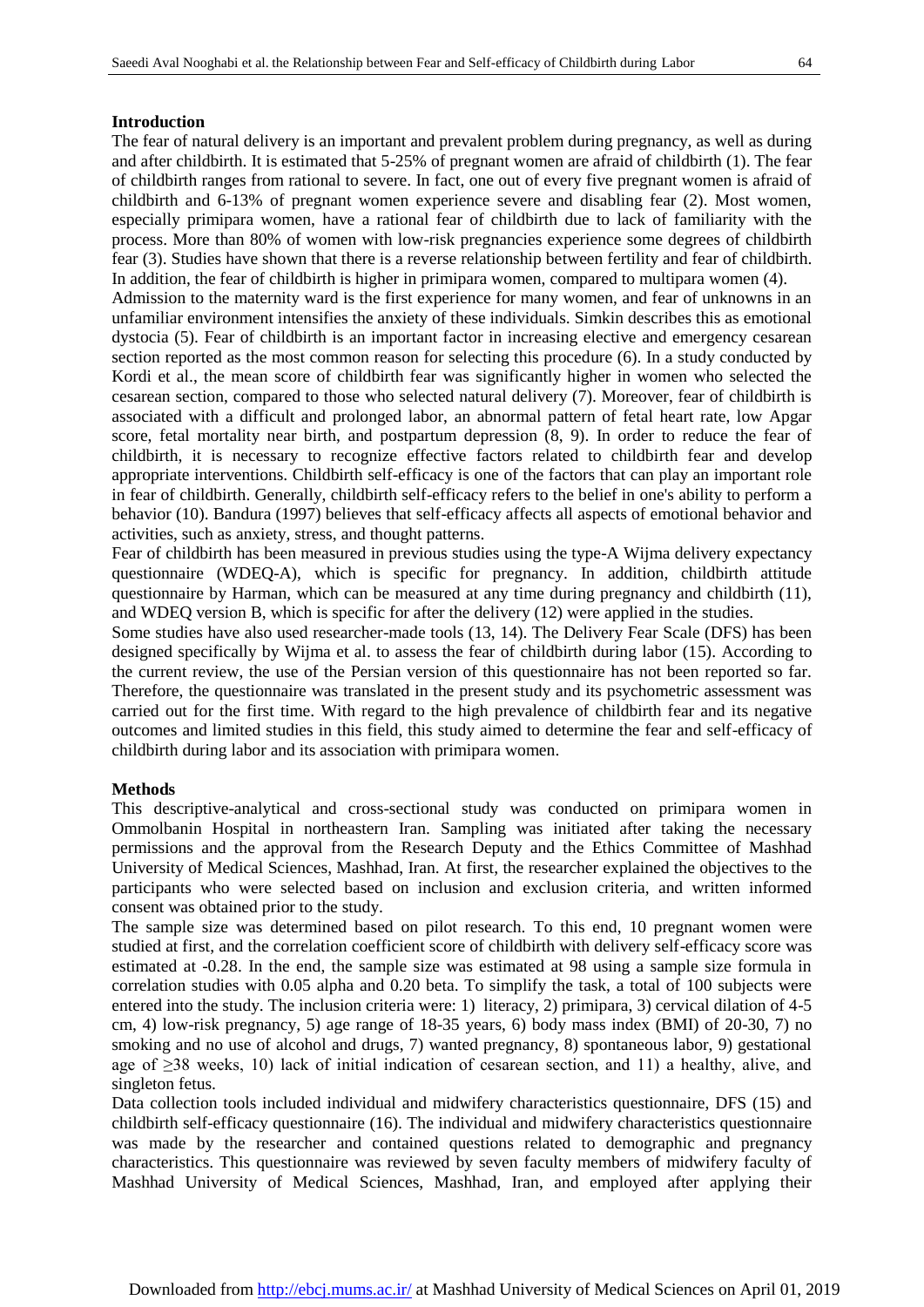# **Introduction**

The fear of natural delivery is an important and prevalent problem during pregnancy, as well as during and after childbirth. It is estimated that 5-25% of pregnant women are afraid of childbirth (1). The fear of childbirth ranges from rational to severe. In fact, one out of every five pregnant women is afraid of childbirth and 6-13% of pregnant women experience severe and disabling fear (2). Most women, especially primipara women, have a rational fear of childbirth due to lack of familiarity with the process. More than 80% of women with low-risk pregnancies experience some degrees of childbirth fear (3). Studies have shown that there is a reverse relationship between fertility and fear of childbirth. In addition, the fear of childbirth is higher in primipara women, compared to multipara women (4).

Admission to the maternity ward is the first experience for many women, and fear of unknowns in an unfamiliar environment intensifies the anxiety of these individuals. Simkin describes this as emotional dystocia (5). Fear of childbirth is an important factor in increasing elective and emergency cesarean section reported as the most common reason for selecting this procedure (6). In a study conducted by Kordi et al., the mean score of childbirth fear was significantly higher in women who selected the cesarean section, compared to those who selected natural delivery (7). Moreover, fear of childbirth is associated with a difficult and prolonged labor, an abnormal pattern of fetal heart rate, low Apgar score, fetal mortality near birth, and postpartum depression (8, 9). In order to reduce the fear of childbirth, it is necessary to recognize effective factors related to childbirth fear and develop appropriate interventions. Childbirth self-efficacy is one of the factors that can play an important role in fear of childbirth. Generally, childbirth self-efficacy refers to the belief in one's ability to perform a behavior (10). Bandura (1997) believes that self-efficacy affects all aspects of emotional behavior and activities, such as anxiety, stress, and thought patterns.

Fear of childbirth has been measured in previous studies using the type-A Wijma delivery expectancy questionnaire (WDEQ-A), which is specific for pregnancy. In addition, childbirth attitude questionnaire by Harman, which can be measured at any time during pregnancy and childbirth (11), and WDEQ version B, which is specific for after the delivery (12) were applied in the studies.

Some studies have also used researcher-made tools (13, 14). The Delivery Fear Scale (DFS) has been designed specifically by Wijma et al. to assess the fear of childbirth during labor (15). According to the current review, the use of the Persian version of this questionnaire has not been reported so far. Therefore, the questionnaire was translated in the present study and its psychometric assessment was carried out for the first time. With regard to the high prevalence of childbirth fear and its negative outcomes and limited studies in this field, this study aimed to determine the fear and self-efficacy of childbirth during labor and its association with primipara women.

# **Methods**

This descriptive-analytical and cross-sectional study was conducted on primipara women in Ommolbanin Hospital in northeastern Iran. Sampling was initiated after taking the necessary permissions and the approval from the Research Deputy and the Ethics Committee of Mashhad University of Medical Sciences, Mashhad, Iran. At first, the researcher explained the objectives to the participants who were selected based on inclusion and exclusion criteria, and written informed consent was obtained prior to the study.

The sample size was determined based on pilot research. To this end, 10 pregnant women were studied at first, and the correlation coefficient score of childbirth with delivery self-efficacy score was estimated at -0.28. In the end, the sample size was estimated at 98 using a sample size formula in correlation studies with 0.05 alpha and 0.20 beta. To simplify the task, a total of 100 subjects were entered into the study. The inclusion criteria were: 1) literacy, 2) primipara, 3) cervical dilation of 4-5 cm, 4) low-risk pregnancy, 5) age range of 18-35 years, 6) body mass index (BMI) of 20-30, 7) no smoking and no use of alcohol and drugs, 7) wanted pregnancy, 8) spontaneous labor, 9) gestational age of ≥38 weeks, 10) lack of initial indication of cesarean section, and 11) a healthy, alive, and singleton fetus.

Data collection tools included individual and midwifery characteristics questionnaire, DFS (15) and childbirth self-efficacy questionnaire (16). The individual and midwifery characteristics questionnaire was made by the researcher and contained questions related to demographic and pregnancy characteristics. This questionnaire was reviewed by seven faculty members of midwifery faculty of Mashhad University of Medical Sciences, Mashhad, Iran, and employed after applying their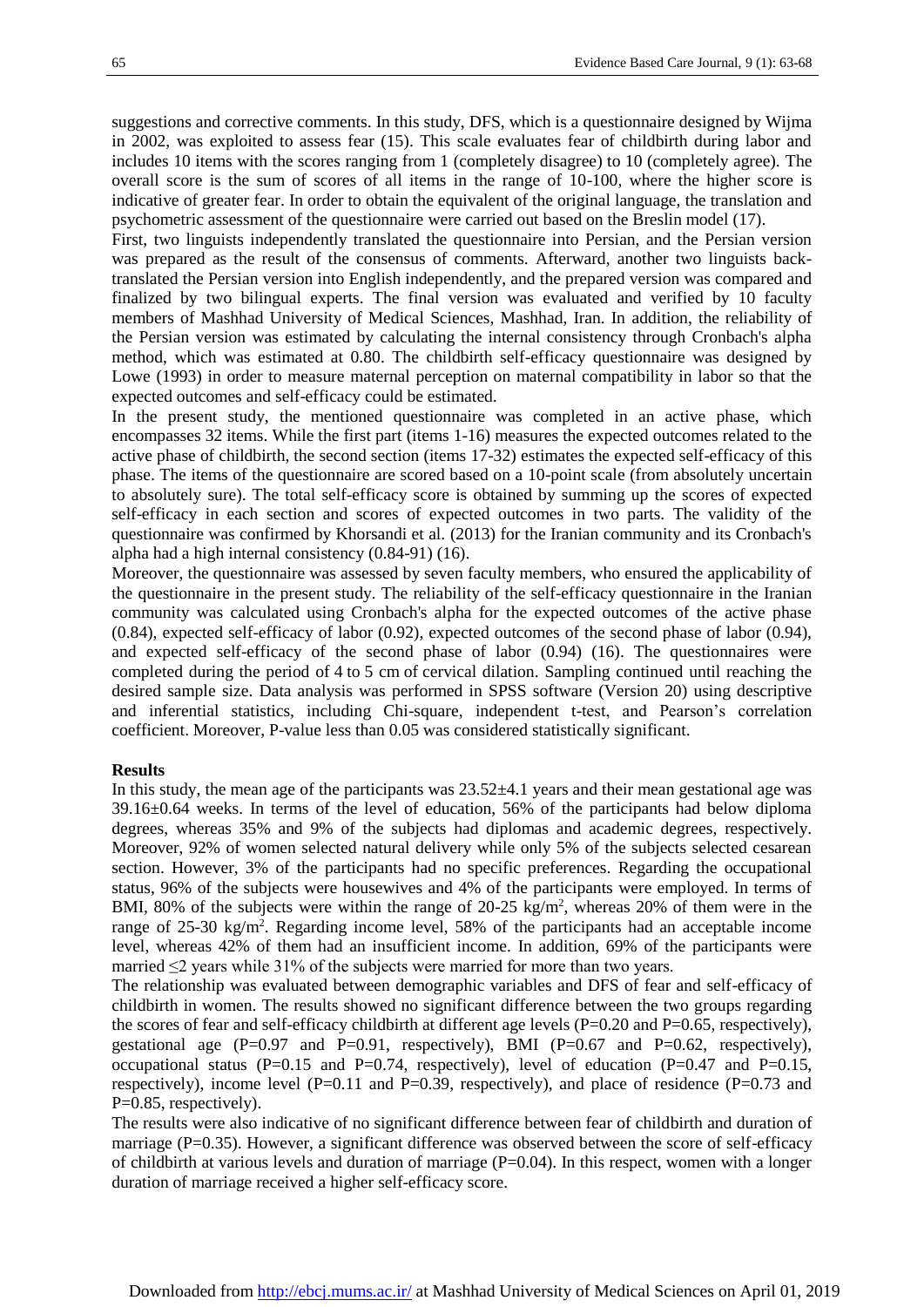suggestions and corrective comments. In this study, DFS, which is a questionnaire designed by Wijma in 2002, was exploited to assess fear (15). This scale evaluates fear of childbirth during labor and includes 10 items with the scores ranging from 1 (completely disagree) to 10 (completely agree). The overall score is the sum of scores of all items in the range of 10-100, where the higher score is indicative of greater fear. In order to obtain the equivalent of the original language, the translation and psychometric assessment of the questionnaire were carried out based on the Breslin model (17).

First, two linguists independently translated the questionnaire into Persian, and the Persian version was prepared as the result of the consensus of comments. Afterward, another two linguists backtranslated the Persian version into English independently, and the prepared version was compared and finalized by two bilingual experts. The final version was evaluated and verified by 10 faculty members of Mashhad University of Medical Sciences, Mashhad, Iran. In addition, the reliability of the Persian version was estimated by calculating the internal consistency through Cronbach's alpha method, which was estimated at 0.80. The childbirth self-efficacy questionnaire was designed by Lowe (1993) in order to measure maternal perception on maternal compatibility in labor so that the expected outcomes and self-efficacy could be estimated.

In the present study, the mentioned questionnaire was completed in an active phase, which encompasses 32 items. While the first part (items 1-16) measures the expected outcomes related to the active phase of childbirth, the second section (items 17-32) estimates the expected self-efficacy of this phase. The items of the questionnaire are scored based on a 10-point scale (from absolutely uncertain to absolutely sure). The total self-efficacy score is obtained by summing up the scores of expected self-efficacy in each section and scores of expected outcomes in two parts. The validity of the questionnaire was confirmed by Khorsandi et al. (2013) for the Iranian community and its Cronbach's alpha had a high internal consistency (0.84-91) (16).

Moreover, the questionnaire was assessed by seven faculty members, who ensured the applicability of the questionnaire in the present study. The reliability of the self-efficacy questionnaire in the Iranian community was calculated using Cronbach's alpha for the expected outcomes of the active phase (0.84), expected self-efficacy of labor (0.92), expected outcomes of the second phase of labor (0.94), and expected self-efficacy of the second phase of labor (0.94) (16). The questionnaires were completed during the period of 4 to 5 cm of cervical dilation. Sampling continued until reaching the desired sample size. Data analysis was performed in SPSS software (Version 20) using descriptive and inferential statistics, including Chi-square, independent t-test, and Pearson's correlation coefficient. Moreover, P-value less than 0.05 was considered statistically significant.

#### **Results**

In this study, the mean age of the participants was  $23.52\pm4.1$  years and their mean gestational age was 39.16±0.64 weeks. In terms of the level of education, 56% of the participants had below diploma degrees, whereas 35% and 9% of the subjects had diplomas and academic degrees, respectively. Moreover, 92% of women selected natural delivery while only 5% of the subjects selected cesarean section. However, 3% of the participants had no specific preferences. Regarding the occupational status, 96% of the subjects were housewives and 4% of the participants were employed. In terms of BMI, 80% of the subjects were within the range of 20-25 kg/m<sup>2</sup>, whereas 20% of them were in the range of 25-30 kg/m<sup>2</sup>. Regarding income level, 58% of the participants had an acceptable income level, whereas 42% of them had an insufficient income. In addition, 69% of the participants were married ≤2 years while 31% of the subjects were married for more than two years.

The relationship was evaluated between demographic variables and DFS of fear and self-efficacy of childbirth in women. The results showed no significant difference between the two groups regarding the scores of fear and self-efficacy childbirth at different age levels  $(P=0.20$  and  $P=0.65$ , respectively), gestational age  $(P=0.97$  and  $P=0.91$ , respectively), BMI  $(P=0.67$  and  $P=0.62$ , respectively), occupational status (P=0.15 and P=0.74, respectively), level of education (P=0.47 and P=0.15, respectively), income level ( $P=0.11$  and  $P=0.39$ , respectively), and place of residence ( $P=0.73$  and P=0.85, respectively).

The results were also indicative of no significant difference between fear of childbirth and duration of marriage (P=0.35). However, a significant difference was observed between the score of self-efficacy of childbirth at various levels and duration of marriage  $(P=0.04)$ . In this respect, women with a longer duration of marriage received a higher self-efficacy score.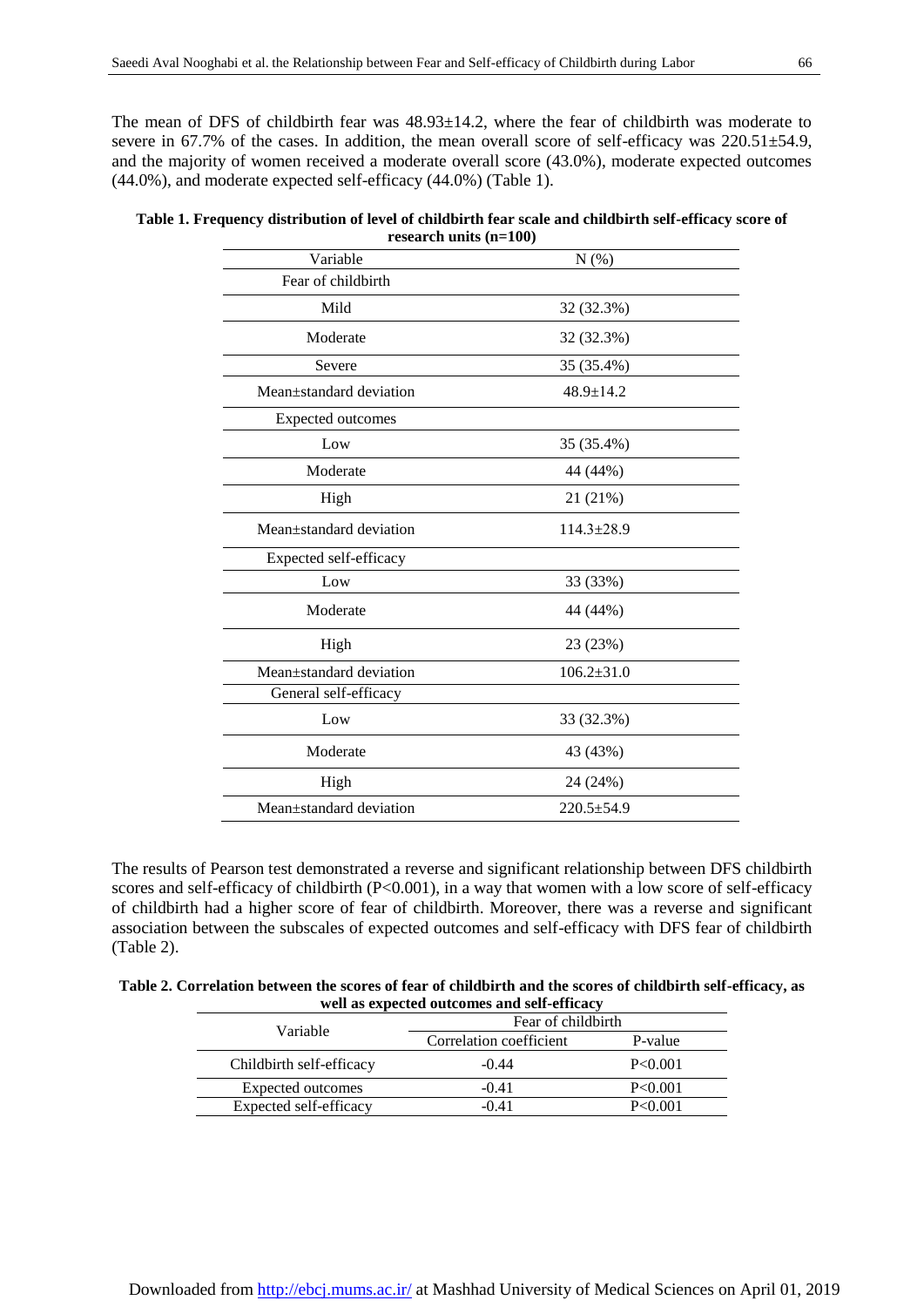The mean of DFS of childbirth fear was  $48.93\pm14.2$ , where the fear of childbirth was moderate to severe in 67.7% of the cases. In addition, the mean overall score of self-efficacy was 220.51±54.9, and the majority of women received a moderate overall score (43.0%), moderate expected outcomes (44.0%), and moderate expected self-efficacy (44.0%) (Table 1).

| Table 1. Frequency distribution of level of childbirth fear scale and childbirth self-efficacy score of |  |
|---------------------------------------------------------------------------------------------------------|--|
| research units $(n=100)$                                                                                |  |

| researen anno $(n-100)$ |                  |  |  |
|-------------------------|------------------|--|--|
| Variable                | N(%)             |  |  |
| Fear of childbirth      |                  |  |  |
| Mild                    | 32 (32.3%)       |  |  |
| Moderate                | 32 (32.3%)       |  |  |
| Severe                  | 35 (35.4%)       |  |  |
| Mean±standard deviation | $48.9 \pm 14.2$  |  |  |
| Expected outcomes       |                  |  |  |
| Low                     | 35 (35.4%)       |  |  |
| Moderate                | 44 (44%)         |  |  |
| High                    | 21 (21%)         |  |  |
| Mean±standard deviation | $114.3 \pm 28.9$ |  |  |
| Expected self-efficacy  |                  |  |  |
| Low                     | 33 (33%)         |  |  |
| Moderate                | 44 (44%)         |  |  |
| High                    | 23 (23%)         |  |  |
| Mean±standard deviation | $106.2{\pm}31.0$ |  |  |
| General self-efficacy   |                  |  |  |
| Low                     | 33 (32.3%)       |  |  |
| Moderate                | 43 (43%)         |  |  |
| High                    | 24 (24%)         |  |  |
| Mean±standard deviation | $220.5 \pm 54.9$ |  |  |
|                         |                  |  |  |

The results of Pearson test demonstrated a reverse and significant relationship between DFS childbirth scores and self-efficacy of childbirth (P<0.001), in a way that women with a low score of self-efficacy of childbirth had a higher score of fear of childbirth. Moreover, there was a reverse and significant association between the subscales of expected outcomes and self-efficacy with DFS fear of childbirth (Table 2).

| Table 2. Correlation between the scores of fear of childbirth and the scores of childbirth self-efficacy, as |
|--------------------------------------------------------------------------------------------------------------|
| well as expected outcomes and self-efficacy                                                                  |

| Variable                 | Fear of childbirth      |           |
|--------------------------|-------------------------|-----------|
|                          | Correlation coefficient | P-value   |
| Childbirth self-efficacy | $-0.44$                 | P < 0.001 |
| Expected outcomes        | $-0.41$                 | P < 0.001 |
| Expected self-efficacy   | $-0.41$                 | P < 0.001 |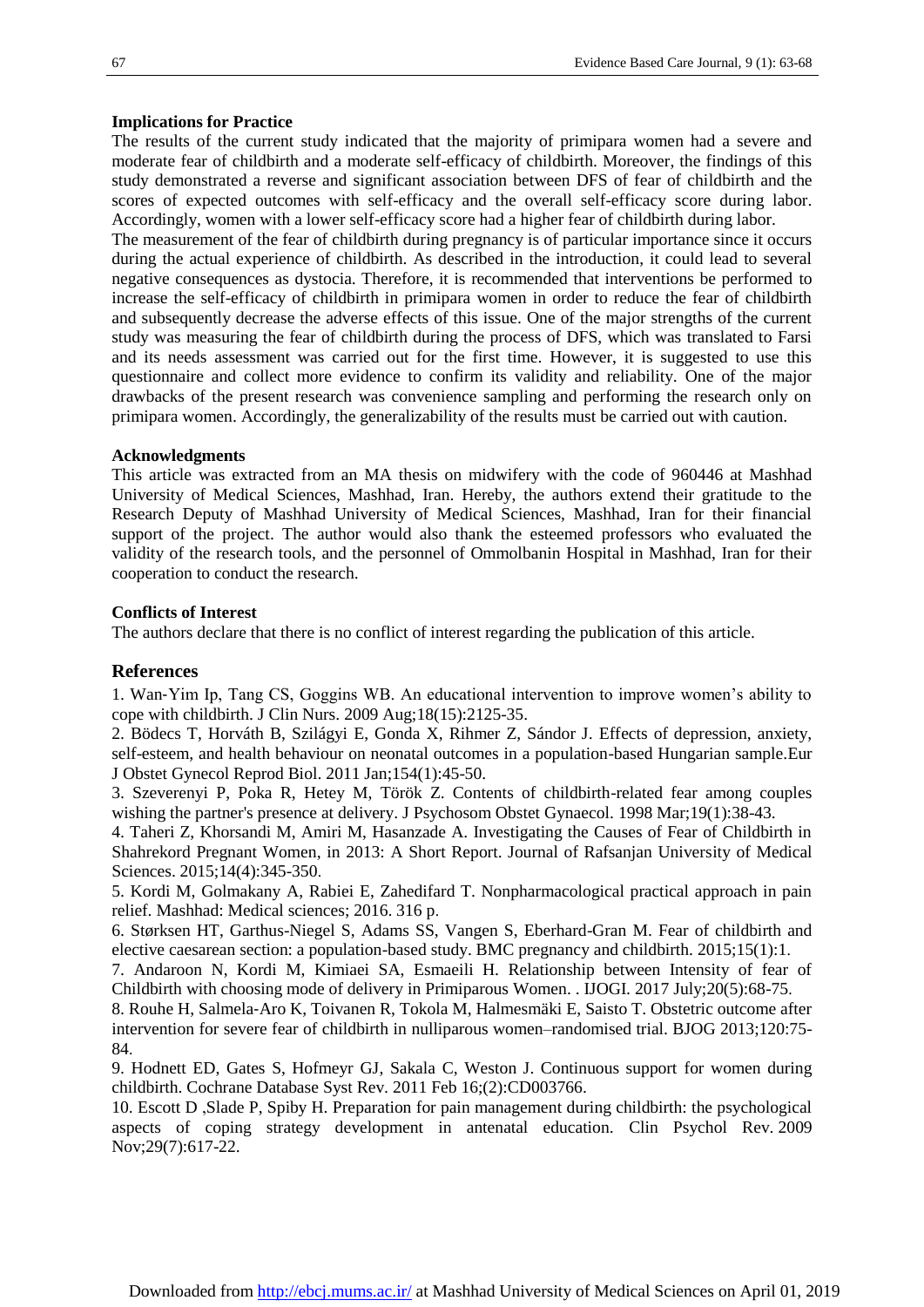## **Implications for Practice**

The results of the current study indicated that the majority of primipara women had a severe and moderate fear of childbirth and a moderate self-efficacy of childbirth. Moreover, the findings of this study demonstrated a reverse and significant association between DFS of fear of childbirth and the scores of expected outcomes with self-efficacy and the overall self-efficacy score during labor. Accordingly, women with a lower self-efficacy score had a higher fear of childbirth during labor.

The measurement of the fear of childbirth during pregnancy is of particular importance since it occurs during the actual experience of childbirth. As described in the introduction, it could lead to several negative consequences as dystocia. Therefore, it is recommended that interventions be performed to increase the self-efficacy of childbirth in primipara women in order to reduce the fear of childbirth and subsequently decrease the adverse effects of this issue. One of the major strengths of the current study was measuring the fear of childbirth during the process of DFS, which was translated to Farsi and its needs assessment was carried out for the first time. However, it is suggested to use this questionnaire and collect more evidence to confirm its validity and reliability. One of the major drawbacks of the present research was convenience sampling and performing the research only on primipara women. Accordingly, the generalizability of the results must be carried out with caution.

# **Acknowledgments**

This article was extracted from an MA thesis on midwifery with the code of 960446 at Mashhad University of Medical Sciences, Mashhad, Iran. Hereby, the authors extend their gratitude to the Research Deputy of Mashhad University of Medical Sciences, Mashhad, Iran for their financial support of the project. The author would also thank the esteemed professors who evaluated the validity of the research tools, and the personnel of Ommolbanin Hospital in Mashhad, Iran for their cooperation to conduct the research.

### **Conflicts of Interest**

The authors declare that there is no conflict of interest regarding the publication of this article.

# **References**

1. Wan‐Yim Ip, Tang CS, Goggins WB. An educational intervention to improve women's ability to cope with childbirth. [J Clin Nurs.](https://www.ncbi.nlm.nih.gov/pubmed/?term=An+educational+intervention+to+improve+women%E2%80%99s+ability+to+cope+with+childbirth) 2009 Aug;18(15):2125-35.

2. Bödecs T, Horváth B, Szilágyi E, Gonda X, Rihmer Z, Sándor J. Effects of depression, anxiety, self-esteem, and health behaviour on neonatal outcomes in a population-based Hungarian sample[.Eur](https://www.ncbi.nlm.nih.gov/pubmed/?term=Effects+of+depression%2C+anxiety%2C+self-esteem%2C+and+health+behaviour+on+neonatal+outcomes+in+a+population-based+Hungarian+sample)  [J Obstet Gynecol Reprod Biol.](https://www.ncbi.nlm.nih.gov/pubmed/?term=Effects+of+depression%2C+anxiety%2C+self-esteem%2C+and+health+behaviour+on+neonatal+outcomes+in+a+population-based+Hungarian+sample) 2011 Jan;154(1):45-50.

3. Szeverenyi P, Poka R, Hetey M, Török Z. Contents of childbirth-related fear among couples wishing the partner's presence at delivery. [J Psychosom Obstet Gynaecol.](https://www.ncbi.nlm.nih.gov/pubmed/?term=Contents+of+childbirth-related+fear+among+couples+wishing+the+partner%27s+presence+at+delivery) 1998 Mar;19(1):38-43.

4. Taheri Z, Khorsandi M, Amiri M, Hasanzade A. Investigating the Causes of Fear of Childbirth in Shahrekord Pregnant Women, in 2013: A Short Report. Journal of Rafsanjan University of Medical Sciences. 2015;14(4):345-350.

5. Kordi M, Golmakany A, Rabiei E, Zahedifard T. Nonpharmacological practical approach in pain relief. Mashhad: Medical sciences; 2016. 316 p.

6. Størksen HT, Garthus-Niegel S, Adams SS, Vangen S, Eberhard-Gran M. Fear of childbirth and elective caesarean section: a population-based study. BMC pregnancy and childbirth. 2015;15(1):1.

7. Andaroon N, Kordi M, Kimiaei SA, Esmaeili H. Relationship between Intensity of fear of Childbirth with choosing mode of delivery in Primiparous Women. . IJOGI. 2017 July;20(5):68-75.

8. Rouhe H, Salmela‐Aro K, Toivanen R, Tokola M, Halmesmäki E, Saisto T. Obstetric outcome after intervention for severe fear of childbirth in nulliparous women–randomised trial. BJOG 2013;120:75- 84.

9. Hodnett ED, Gates S, Hofmeyr GJ, Sakala C, Weston J. Continuous support for women during childbirth. [Cochrane Database Syst Rev.](https://www.ncbi.nlm.nih.gov/pubmed/21328263) 2011 Feb 16;(2):CD003766.

10. Escott D ,Slade P, Spiby H. Preparation for pain management during childbirth: the psychological aspects of coping strategy development in antenatal education. [Clin Psychol Rev.](https://www.ncbi.nlm.nih.gov/pubmed/?term=Preparation+for+pain+management+during+childbirth%3A+the+psychological+aspects+of+coping+strategy+development+in+antenatal+education) 2009 Nov;29(7):617-22.